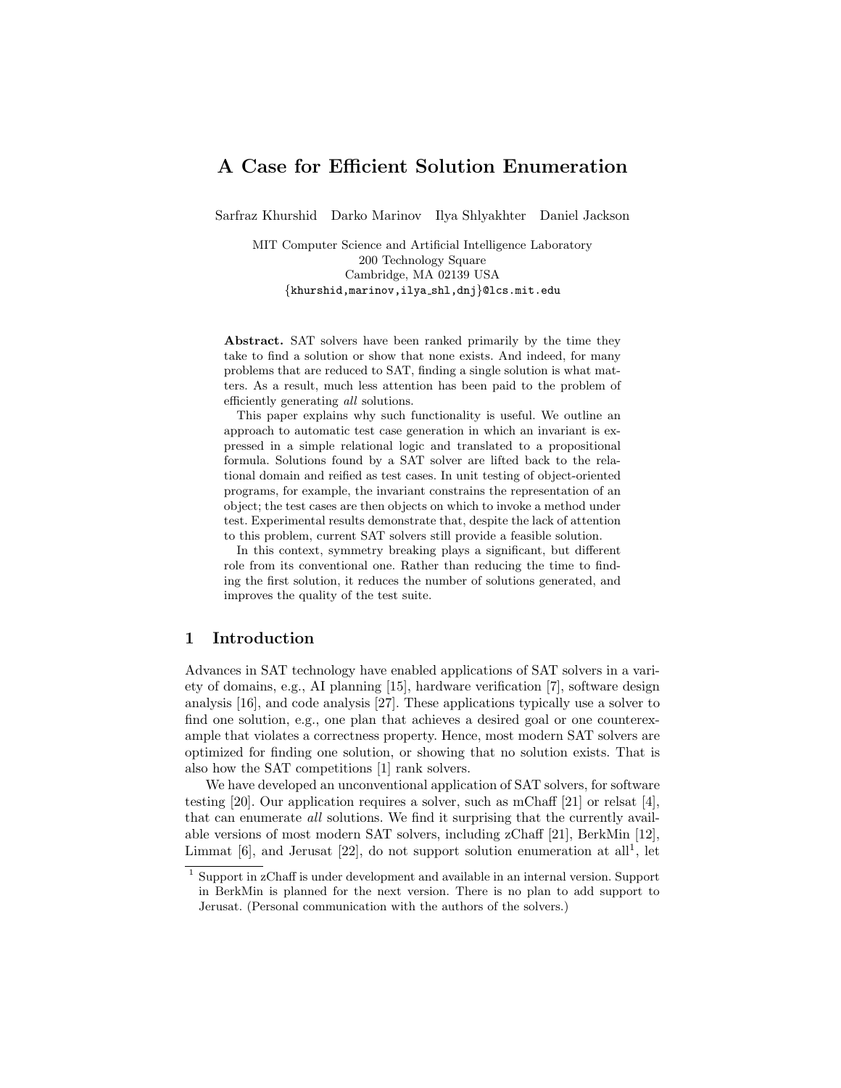# A Case for Efficient Solution Enumeration

Sarfraz Khurshid Darko Marinov Ilya Shlyakhter Daniel Jackson

MIT Computer Science and Artificial Intelligence Laboratory 200 Technology Square Cambridge, MA 02139 USA {khurshid,marinov,ilya shl,dnj}@lcs.mit.edu

Abstract. SAT solvers have been ranked primarily by the time they take to find a solution or show that none exists. And indeed, for many problems that are reduced to SAT, finding a single solution is what matters. As a result, much less attention has been paid to the problem of efficiently generating all solutions.

This paper explains why such functionality is useful. We outline an approach to automatic test case generation in which an invariant is expressed in a simple relational logic and translated to a propositional formula. Solutions found by a SAT solver are lifted back to the relational domain and reified as test cases. In unit testing of object-oriented programs, for example, the invariant constrains the representation of an object; the test cases are then objects on which to invoke a method under test. Experimental results demonstrate that, despite the lack of attention to this problem, current SAT solvers still provide a feasible solution.

In this context, symmetry breaking plays a significant, but different role from its conventional one. Rather than reducing the time to finding the first solution, it reduces the number of solutions generated, and improves the quality of the test suite.

# 1 Introduction

Advances in SAT technology have enabled applications of SAT solvers in a variety of domains, e.g., AI planning [15], hardware verification [7], software design analysis [16], and code analysis [27]. These applications typically use a solver to find one solution, e.g., one plan that achieves a desired goal or one counterexample that violates a correctness property. Hence, most modern SAT solvers are optimized for finding one solution, or showing that no solution exists. That is also how the SAT competitions [1] rank solvers.

We have developed an unconventional application of SAT solvers, for software testing [20]. Our application requires a solver, such as mChaff [21] or relsat [4], that can enumerate all solutions. We find it surprising that the currently available versions of most modern SAT solvers, including zChaff [21], BerkMin [12], Limmat  $[6]$ , and Jerusat  $[22]$ , do not support solution enumeration at all<sup>1</sup>, let

<sup>1</sup> Support in zChaff is under development and available in an internal version. Support in BerkMin is planned for the next version. There is no plan to add support to Jerusat. (Personal communication with the authors of the solvers.)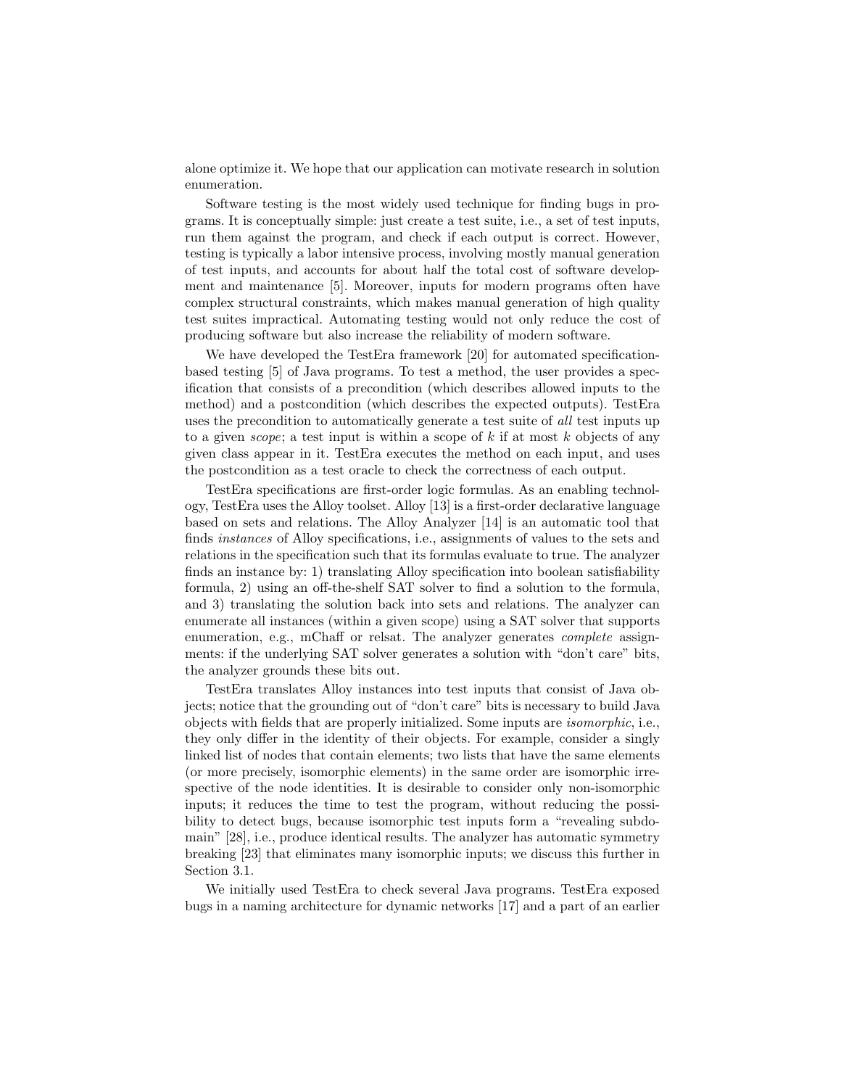alone optimize it. We hope that our application can motivate research in solution enumeration.

Software testing is the most widely used technique for finding bugs in programs. It is conceptually simple: just create a test suite, i.e., a set of test inputs, run them against the program, and check if each output is correct. However, testing is typically a labor intensive process, involving mostly manual generation of test inputs, and accounts for about half the total cost of software development and maintenance [5]. Moreover, inputs for modern programs often have complex structural constraints, which makes manual generation of high quality test suites impractical. Automating testing would not only reduce the cost of producing software but also increase the reliability of modern software.

We have developed the TestEra framework [20] for automated specificationbased testing [5] of Java programs. To test a method, the user provides a specification that consists of a precondition (which describes allowed inputs to the method) and a postcondition (which describes the expected outputs). TestEra uses the precondition to automatically generate a test suite of *all* test inputs up to a given *scope*; a test input is within a scope of  $k$  if at most  $k$  objects of any given class appear in it. TestEra executes the method on each input, and uses the postcondition as a test oracle to check the correctness of each output.

TestEra specifications are first-order logic formulas. As an enabling technology, TestEra uses the Alloy toolset. Alloy [13] is a first-order declarative language based on sets and relations. The Alloy Analyzer [14] is an automatic tool that finds instances of Alloy specifications, i.e., assignments of values to the sets and relations in the specification such that its formulas evaluate to true. The analyzer finds an instance by: 1) translating Alloy specification into boolean satisfiability formula, 2) using an off-the-shelf SAT solver to find a solution to the formula, and 3) translating the solution back into sets and relations. The analyzer can enumerate all instances (within a given scope) using a SAT solver that supports enumeration, e.g., mChaff or relsat. The analyzer generates *complete* assignments: if the underlying SAT solver generates a solution with "don't care" bits, the analyzer grounds these bits out.

TestEra translates Alloy instances into test inputs that consist of Java objects; notice that the grounding out of "don't care" bits is necessary to build Java objects with fields that are properly initialized. Some inputs are isomorphic, i.e., they only differ in the identity of their objects. For example, consider a singly linked list of nodes that contain elements; two lists that have the same elements (or more precisely, isomorphic elements) in the same order are isomorphic irrespective of the node identities. It is desirable to consider only non-isomorphic inputs; it reduces the time to test the program, without reducing the possibility to detect bugs, because isomorphic test inputs form a "revealing subdomain" [28], i.e., produce identical results. The analyzer has automatic symmetry breaking [23] that eliminates many isomorphic inputs; we discuss this further in Section 3.1.

We initially used TestEra to check several Java programs. TestEra exposed bugs in a naming architecture for dynamic networks [17] and a part of an earlier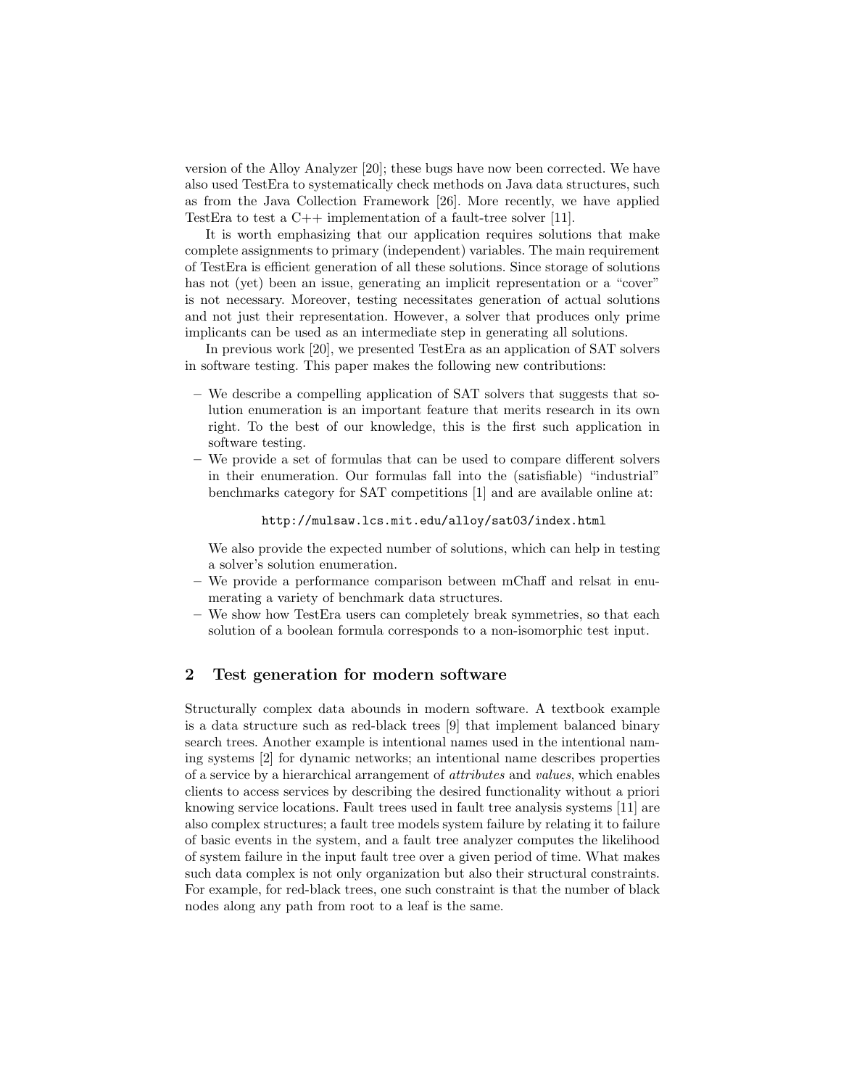version of the Alloy Analyzer [20]; these bugs have now been corrected. We have also used TestEra to systematically check methods on Java data structures, such as from the Java Collection Framework [26]. More recently, we have applied TestEra to test a C++ implementation of a fault-tree solver [11].

It is worth emphasizing that our application requires solutions that make complete assignments to primary (independent) variables. The main requirement of TestEra is efficient generation of all these solutions. Since storage of solutions has not (yet) been an issue, generating an implicit representation or a "cover" is not necessary. Moreover, testing necessitates generation of actual solutions and not just their representation. However, a solver that produces only prime implicants can be used as an intermediate step in generating all solutions.

In previous work [20], we presented TestEra as an application of SAT solvers in software testing. This paper makes the following new contributions:

- We describe a compelling application of SAT solvers that suggests that solution enumeration is an important feature that merits research in its own right. To the best of our knowledge, this is the first such application in software testing.
- We provide a set of formulas that can be used to compare different solvers in their enumeration. Our formulas fall into the (satisfiable) "industrial" benchmarks category for SAT competitions [1] and are available online at:

#### http://mulsaw.lcs.mit.edu/alloy/sat03/index.html

We also provide the expected number of solutions, which can help in testing a solver's solution enumeration.

- We provide a performance comparison between mChaff and relsat in enumerating a variety of benchmark data structures.
- We show how TestEra users can completely break symmetries, so that each solution of a boolean formula corresponds to a non-isomorphic test input.

# 2 Test generation for modern software

Structurally complex data abounds in modern software. A textbook example is a data structure such as red-black trees [9] that implement balanced binary search trees. Another example is intentional names used in the intentional naming systems [2] for dynamic networks; an intentional name describes properties of a service by a hierarchical arrangement of attributes and values, which enables clients to access services by describing the desired functionality without a priori knowing service locations. Fault trees used in fault tree analysis systems [11] are also complex structures; a fault tree models system failure by relating it to failure of basic events in the system, and a fault tree analyzer computes the likelihood of system failure in the input fault tree over a given period of time. What makes such data complex is not only organization but also their structural constraints. For example, for red-black trees, one such constraint is that the number of black nodes along any path from root to a leaf is the same.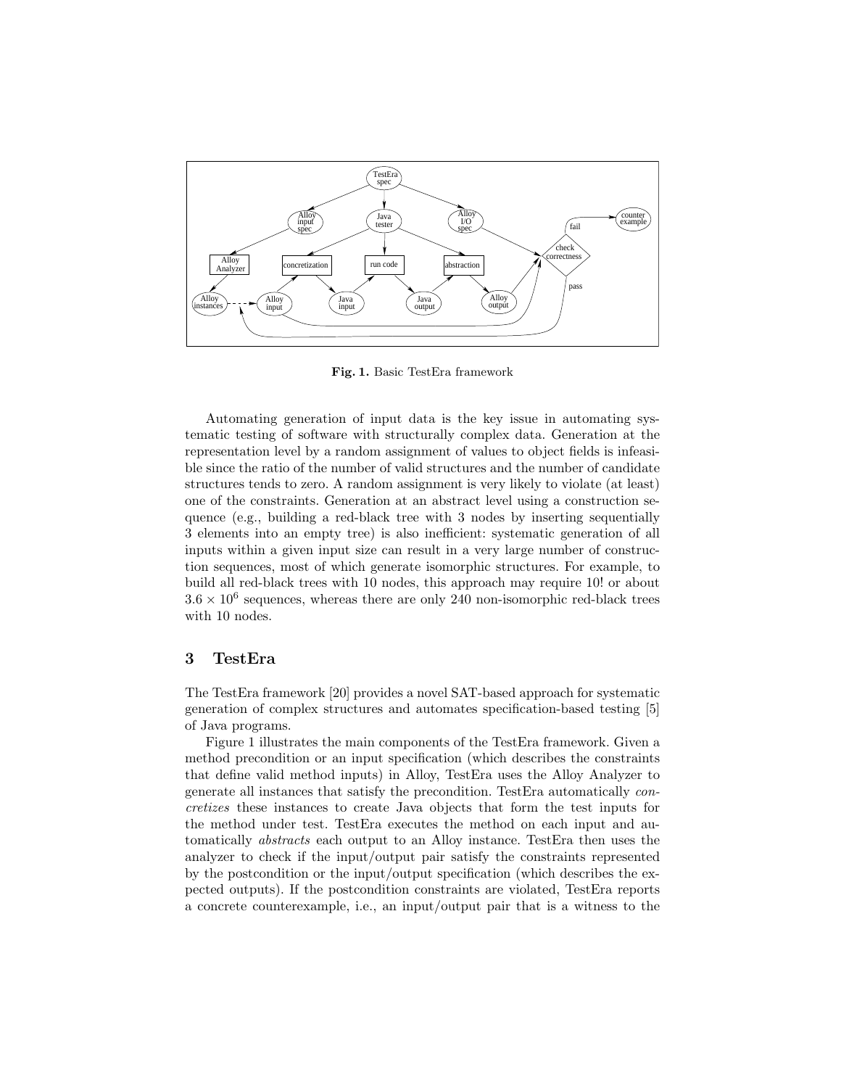

Fig. 1. Basic TestEra framework

Automating generation of input data is the key issue in automating systematic testing of software with structurally complex data. Generation at the representation level by a random assignment of values to object fields is infeasible since the ratio of the number of valid structures and the number of candidate structures tends to zero. A random assignment is very likely to violate (at least) one of the constraints. Generation at an abstract level using a construction sequence (e.g., building a red-black tree with 3 nodes by inserting sequentially 3 elements into an empty tree) is also inefficient: systematic generation of all inputs within a given input size can result in a very large number of construction sequences, most of which generate isomorphic structures. For example, to build all red-black trees with 10 nodes, this approach may require 10! or about  $3.6 \times 10^6$  sequences, whereas there are only 240 non-isomorphic red-black trees with 10 nodes.

### 3 TestEra

The TestEra framework [20] provides a novel SAT-based approach for systematic generation of complex structures and automates specification-based testing [5] of Java programs.

Figure 1 illustrates the main components of the TestEra framework. Given a method precondition or an input specification (which describes the constraints that define valid method inputs) in Alloy, TestEra uses the Alloy Analyzer to generate all instances that satisfy the precondition. TestEra automatically concretizes these instances to create Java objects that form the test inputs for the method under test. TestEra executes the method on each input and automatically abstracts each output to an Alloy instance. TestEra then uses the analyzer to check if the input/output pair satisfy the constraints represented by the postcondition or the input/output specification (which describes the expected outputs). If the postcondition constraints are violated, TestEra reports a concrete counterexample, i.e., an input/output pair that is a witness to the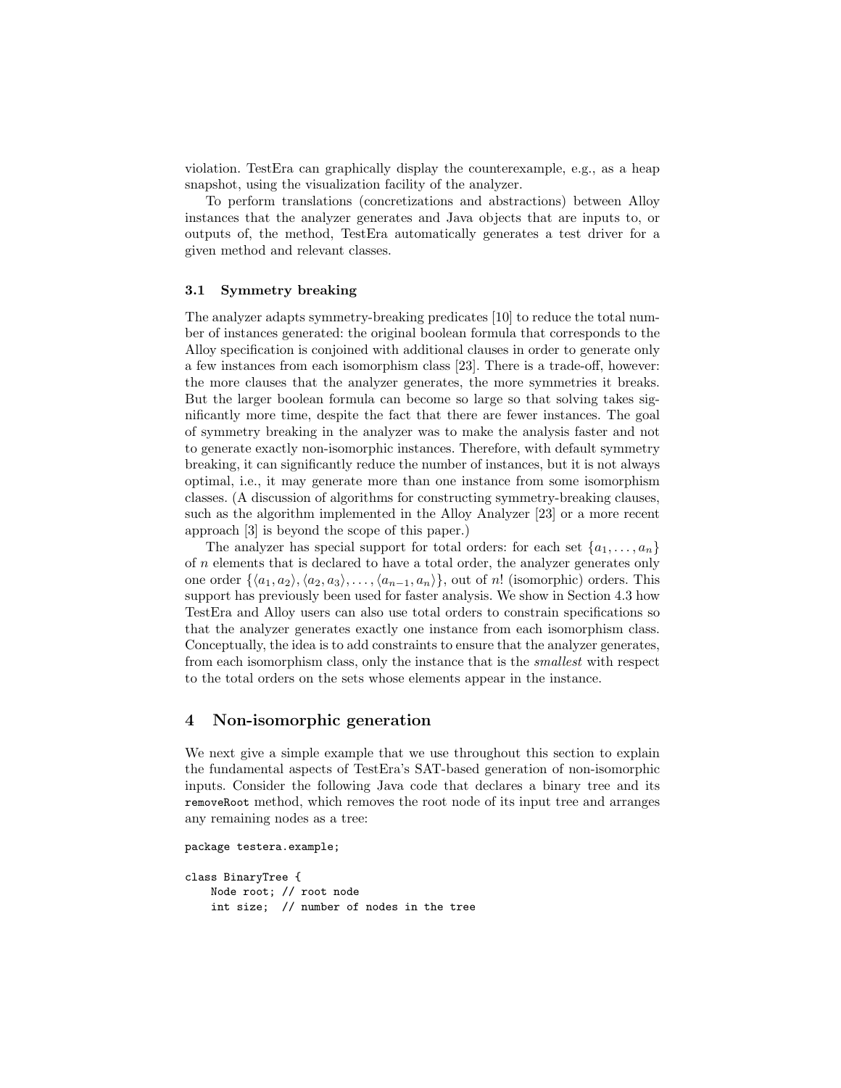violation. TestEra can graphically display the counterexample, e.g., as a heap snapshot, using the visualization facility of the analyzer.

To perform translations (concretizations and abstractions) between Alloy instances that the analyzer generates and Java objects that are inputs to, or outputs of, the method, TestEra automatically generates a test driver for a given method and relevant classes.

#### 3.1 Symmetry breaking

The analyzer adapts symmetry-breaking predicates [10] to reduce the total number of instances generated: the original boolean formula that corresponds to the Alloy specification is conjoined with additional clauses in order to generate only a few instances from each isomorphism class [23]. There is a trade-off, however: the more clauses that the analyzer generates, the more symmetries it breaks. But the larger boolean formula can become so large so that solving takes significantly more time, despite the fact that there are fewer instances. The goal of symmetry breaking in the analyzer was to make the analysis faster and not to generate exactly non-isomorphic instances. Therefore, with default symmetry breaking, it can significantly reduce the number of instances, but it is not always optimal, i.e., it may generate more than one instance from some isomorphism classes. (A discussion of algorithms for constructing symmetry-breaking clauses, such as the algorithm implemented in the Alloy Analyzer [23] or a more recent approach [3] is beyond the scope of this paper.)

The analyzer has special support for total orders: for each set  $\{a_1, \ldots, a_n\}$ of  $n$  elements that is declared to have a total order, the analyzer generates only one order  $\{\langle a_1, a_2 \rangle, \langle a_2, a_3 \rangle, \ldots, \langle a_{n-1}, a_n \rangle\}$ , out of n! (isomorphic) orders. This support has previously been used for faster analysis. We show in Section 4.3 how TestEra and Alloy users can also use total orders to constrain specifications so that the analyzer generates exactly one instance from each isomorphism class. Conceptually, the idea is to add constraints to ensure that the analyzer generates, from each isomorphism class, only the instance that is the smallest with respect to the total orders on the sets whose elements appear in the instance.

# 4 Non-isomorphic generation

We next give a simple example that we use throughout this section to explain the fundamental aspects of TestEra's SAT-based generation of non-isomorphic inputs. Consider the following Java code that declares a binary tree and its removeRoot method, which removes the root node of its input tree and arranges any remaining nodes as a tree:

```
package testera.example;
```

```
class BinaryTree {
   Node root; // root node
   int size; // number of nodes in the tree
```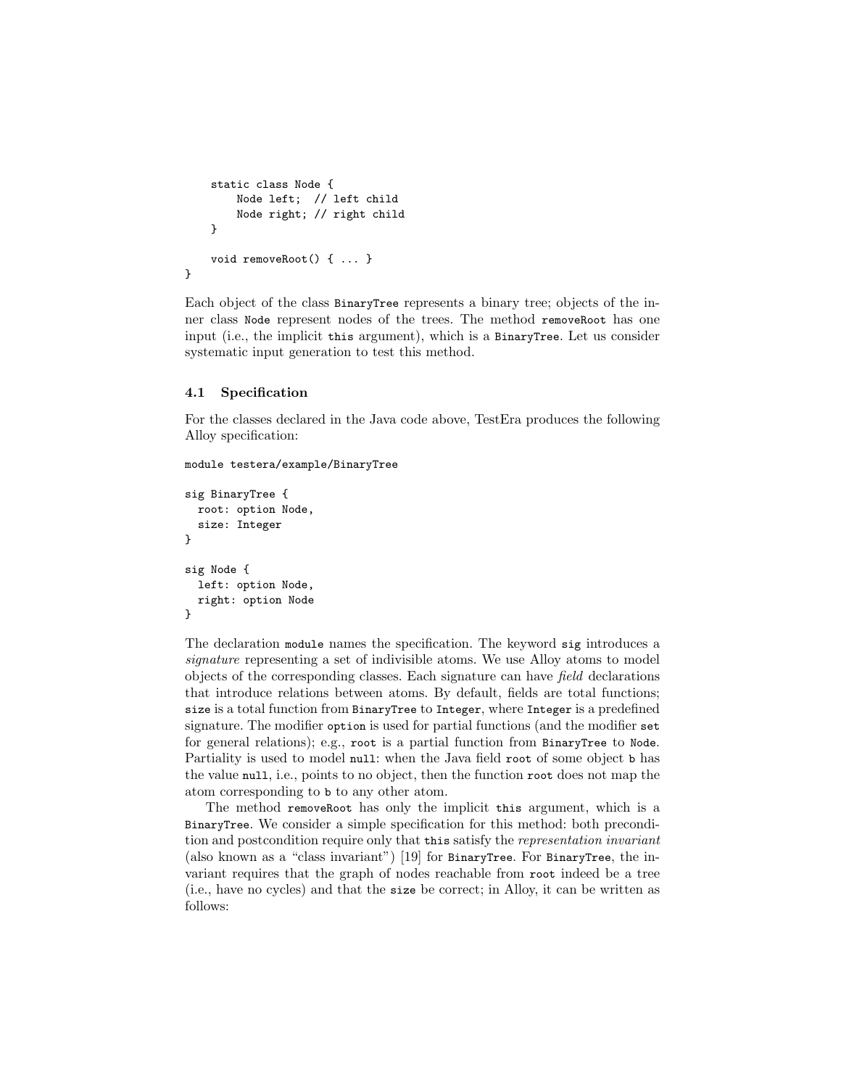```
static class Node {
       Node left; // left child
       Node right; // right child
    }
    void removeRoot() { ... }
}
```
Each object of the class BinaryTree represents a binary tree; objects of the inner class Node represent nodes of the trees. The method removeRoot has one input (i.e., the implicit this argument), which is a BinaryTree. Let us consider systematic input generation to test this method.

#### 4.1 Specification

For the classes declared in the Java code above, TestEra produces the following Alloy specification:

```
module testera/example/BinaryTree
```

```
sig BinaryTree {
 root: option Node,
  size: Integer
}
sig Node {
 left: option Node,
 right: option Node
}
```
The declaration module names the specification. The keyword sig introduces a signature representing a set of indivisible atoms. We use Alloy atoms to model objects of the corresponding classes. Each signature can have field declarations that introduce relations between atoms. By default, fields are total functions; size is a total function from BinaryTree to Integer, where Integer is a predefined signature. The modifier option is used for partial functions (and the modifier set for general relations); e.g., root is a partial function from BinaryTree to Node. Partiality is used to model null: when the Java field root of some object b has the value null, i.e., points to no object, then the function root does not map the atom corresponding to b to any other atom.

The method removeRoot has only the implicit this argument, which is a BinaryTree. We consider a simple specification for this method: both precondition and postcondition require only that this satisfy the representation invariant (also known as a "class invariant") [19] for BinaryTree. For BinaryTree, the invariant requires that the graph of nodes reachable from root indeed be a tree (i.e., have no cycles) and that the size be correct; in Alloy, it can be written as follows: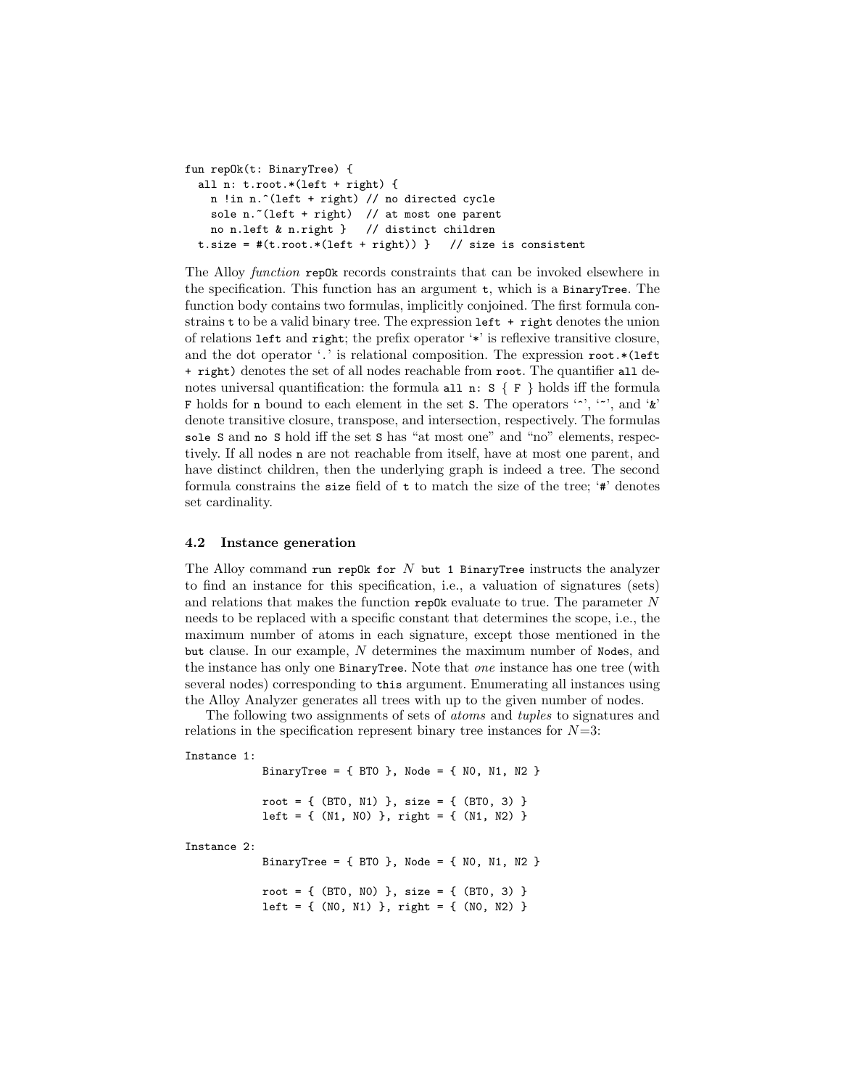```
fun repOk(t: BinaryTree) {
 all n: t.root.*(left + right) {
   n !in n.^(left + right) // no directed cycle
   sole n. "(left + right) // at most one parent
   no n.left & n.right } // distinct children
 t.size = \#(t root.*(left + right)) } // size is consistent
```
The Alloy *function* repOk records constraints that can be invoked elsewhere in the specification. This function has an argument t, which is a BinaryTree. The function body contains two formulas, implicitly conjoined. The first formula constrains t to be a valid binary tree. The expression left + right denotes the union of relations left and right; the prefix operator '\*' is reflexive transitive closure, and the dot operator '.' is relational composition. The expression root.\*(left + right) denotes the set of all nodes reachable from root. The quantifier all denotes universal quantification: the formula all  $n: S \{ F \}$  holds iff the formula **F** holds for **n** bound to each element in the set **s**. The operators  $\langle \cdot \cdot \rangle$ ,  $\langle \cdot \cdot \rangle$ , and  $\langle \cdot \rangle$ denote transitive closure, transpose, and intersection, respectively. The formulas sole S and no S hold iff the set S has "at most one" and "no" elements, respectively. If all nodes n are not reachable from itself, have at most one parent, and have distinct children, then the underlying graph is indeed a tree. The second formula constrains the size field of  $t$  to match the size of the tree; '#' denotes set cardinality.

#### 4.2 Instance generation

The Alloy command run repOk for  $N$  but 1 BinaryTree instructs the analyzer to find an instance for this specification, i.e., a valuation of signatures (sets) and relations that makes the function repOk evaluate to true. The parameter  $N$ needs to be replaced with a specific constant that determines the scope, i.e., the maximum number of atoms in each signature, except those mentioned in the but clause. In our example, N determines the maximum number of Nodes, and the instance has only one BinaryTree. Note that one instance has one tree (with several nodes) corresponding to this argument. Enumerating all instances using the Alloy Analyzer generates all trees with up to the given number of nodes.

The following two assignments of sets of atoms and tuples to signatures and relations in the specification represent binary tree instances for  $N=3$ :

```
Instance 1:
            BinaryTree = {E}FTO {E}, Node = {N}NO, N1, N2 {E}root = { (BT0, N1) }, size = { (BT0, 3) }
            left = {\{(N1, N0)\}; right = {\{(N1, N2)\}}Instance 2:
            BinaryTree = {E} BTO {E}, Node = {E} NO, N1, N2 {E}root = { (BTO, NO) }, size = { (BTO, 3) }
            left = \{ (NO, N1) \}, right = \{ (NO, N2) \}
```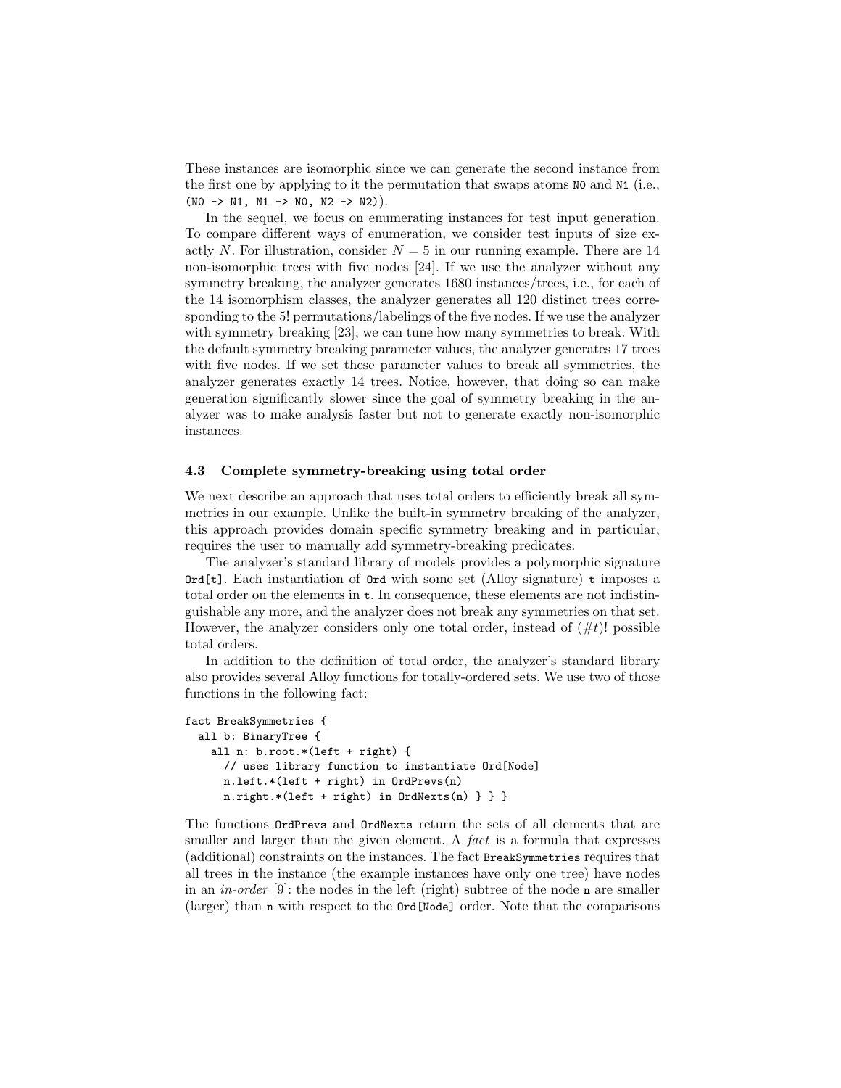These instances are isomorphic since we can generate the second instance from the first one by applying to it the permutation that swaps atoms N0 and N1 (i.e.,  $(NO \rightarrow N1, N1 \rightarrow NO, N2 \rightarrow N2)).$ 

In the sequel, we focus on enumerating instances for test input generation. To compare different ways of enumeration, we consider test inputs of size exactly N. For illustration, consider  $N = 5$  in our running example. There are 14 non-isomorphic trees with five nodes [24]. If we use the analyzer without any symmetry breaking, the analyzer generates 1680 instances/trees, i.e., for each of the 14 isomorphism classes, the analyzer generates all 120 distinct trees corresponding to the 5! permutations/labelings of the five nodes. If we use the analyzer with symmetry breaking [23], we can tune how many symmetries to break. With the default symmetry breaking parameter values, the analyzer generates 17 trees with five nodes. If we set these parameter values to break all symmetries, the analyzer generates exactly 14 trees. Notice, however, that doing so can make generation significantly slower since the goal of symmetry breaking in the analyzer was to make analysis faster but not to generate exactly non-isomorphic instances.

#### 4.3 Complete symmetry-breaking using total order

We next describe an approach that uses total orders to efficiently break all symmetries in our example. Unlike the built-in symmetry breaking of the analyzer, this approach provides domain specific symmetry breaking and in particular, requires the user to manually add symmetry-breaking predicates.

The analyzer's standard library of models provides a polymorphic signature  $Ord[t]$ . Each instantiation of  $Ord$  with some set (Alloy signature) t imposes a total order on the elements in t. In consequence, these elements are not indistinguishable any more, and the analyzer does not break any symmetries on that set. However, the analyzer considers only one total order, instead of  $(\#t)!$  possible total orders.

In addition to the definition of total order, the analyzer's standard library also provides several Alloy functions for totally-ordered sets. We use two of those functions in the following fact:

```
fact BreakSymmetries {
 all b: BinaryTree {
    all n: b.root.*(left + right) {
      // uses library function to instantiate Ord[Node]
     n.left.*(left + right) in OrdPrevs(n)
     n.right.*(left + right) in OrdNexts(n) } } }
```
The functions OrdPrevs and OrdNexts return the sets of all elements that are smaller and larger than the given element. A *fact* is a formula that expresses (additional) constraints on the instances. The fact BreakSymmetries requires that all trees in the instance (the example instances have only one tree) have nodes in an in-order [9]: the nodes in the left (right) subtree of the node n are smaller (larger) than n with respect to the Ord[Node] order. Note that the comparisons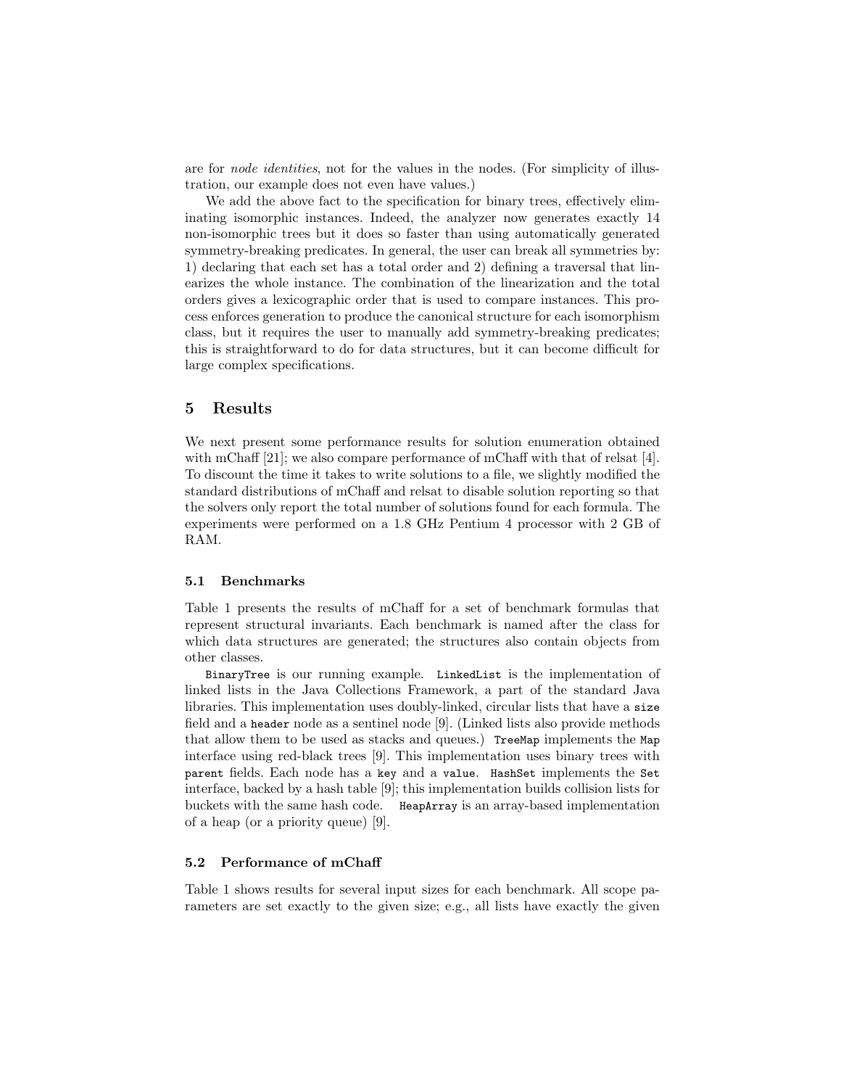are for node identities, not for the values in the nodes. (For simplicity of illustration, our example does not even have values.)

We add the above fact to the specification for binary trees, effectively eliminating isomorphic instances. Indeed, the analyzer now generates exactly 14 non-isomorphic trees but it does so faster than using automatically generated symmetry-breaking predicates. In general, the user can break all symmetries by: 1) declaring that each set has a total order and 2) defining a traversal that linearizes the whole instance. The combination of the linearization and the total orders gives a lexicographic order that is used to compare instances. This process enforces generation to produce the canonical structure for each isomorphism class, but it requires the user to manually add symmetry-breaking predicates; this is straightforward to do for data structures, but it can become difficult for large complex specifications.

# 5 Results

We next present some performance results for solution enumeration obtained with mChaff  $[21]$ ; we also compare performance of mChaff with that of relsat  $[4]$ . To discount the time it takes to write solutions to a file, we slightly modified the standard distributions of mChaff and relsat to disable solution reporting so that the solvers only report the total number of solutions found for each formula. The experiments were performed on a 1.8 GHz Pentium 4 processor with 2 GB of RAM.

#### 5.1 Benchmarks

Table 1 presents the results of mChaff for a set of benchmark formulas that represent structural invariants. Each benchmark is named after the class for which data structures are generated; the structures also contain objects from other classes.

BinaryTree is our running example. LinkedList is the implementation of linked lists in the Java Collections Framework, a part of the standard Java libraries. This implementation uses doubly-linked, circular lists that have a size field and a header node as a sentinel node [9]. (Linked lists also provide methods that allow them to be used as stacks and queues.) TreeMap implements the Map interface using red-black trees [9]. This implementation uses binary trees with parent fields. Each node has a key and a value. HashSet implements the Set interface, backed by a hash table [9]; this implementation builds collision lists for buckets with the same hash code. HeapArray is an array-based implementation of a heap (or a priority queue) [9].

#### 5.2 Performance of mChaff

Table 1 shows results for several input sizes for each benchmark. All scope parameters are set exactly to the given size; e.g., all lists have exactly the given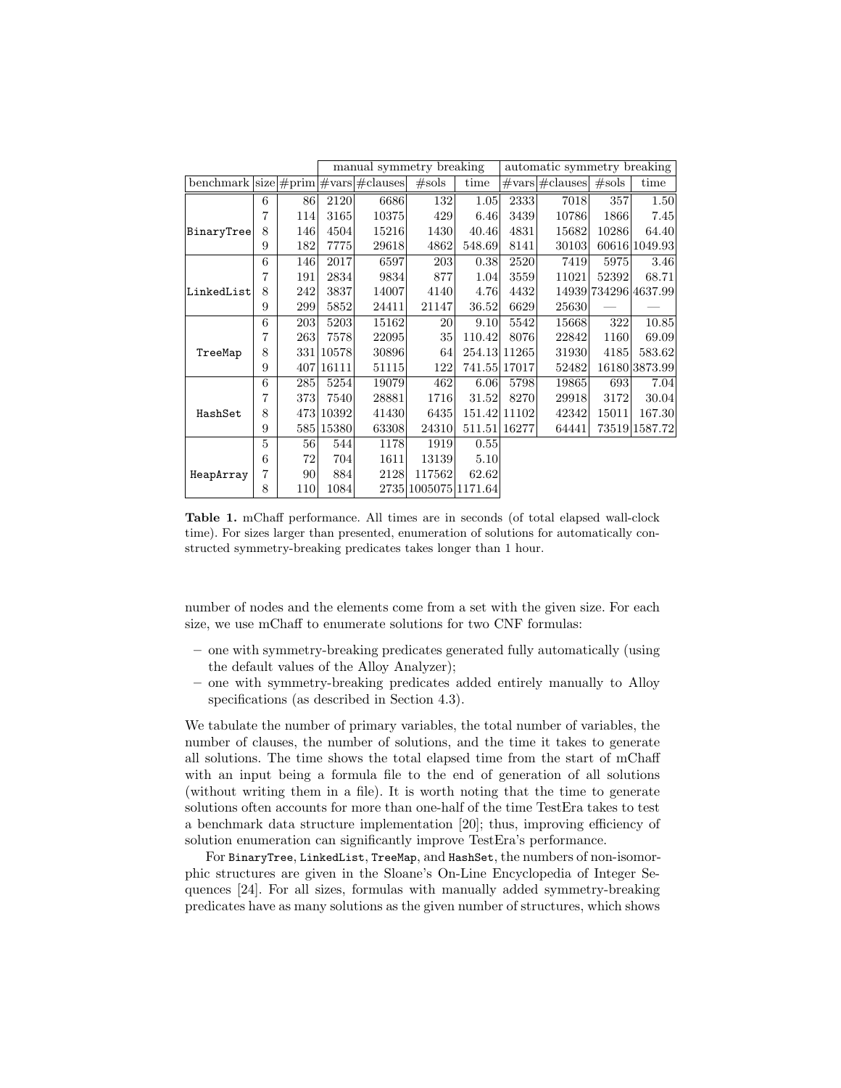|                                               |   |     | manual symmetry breaking |       |                   | automatic symmetry breaking |       |                                          |       |                      |
|-----------------------------------------------|---|-----|--------------------------|-------|-------------------|-----------------------------|-------|------------------------------------------|-------|----------------------|
| benchmark $ size  \#prim  \#vars  \#clauses $ |   |     |                          |       | $\#\mathrm{sols}$ | time                        |       | $\#vars$ <sup><math>\#class</math></sup> | #sols | time                 |
|                                               | 6 | 86  | 2120                     | 6686  | 132               | 1.05                        | 2333  | 7018                                     | 357   | 1.50                 |
|                                               | 7 | 114 | 3165                     | 10375 | 429               | 6.46                        | 3439  | 10786                                    | 1866  | 7.45                 |
| BinaryTree                                    | 8 | 146 | 4504                     | 15216 | 1430              | 40.46                       | 4831  | 15682                                    | 10286 | 64.40                |
|                                               | 9 | 182 | 7775                     | 29618 | 4862              | 548.69                      | 8141  | 30103                                    |       | 60616 1049.93        |
|                                               | 6 | 146 | 2017                     | 6597  | 203               | 0.38                        | 2520  | 7419                                     | 5975  | 3.46                 |
|                                               | 7 | 191 | 2834                     | 9834  | 877               | 1.04                        | 3559  | 11021                                    | 52392 | 68.71                |
| LinkedList                                    | 8 | 242 | 3837                     | 14007 | 4140              | 4.76                        | 4432  |                                          |       | 14939 734296 4637.99 |
|                                               | 9 | 299 | 5852                     | 24411 | 21147             | 36.52                       | 6629  | 25630                                    |       |                      |
|                                               | 6 | 203 | 5203                     | 15162 | 20 <sup>°</sup>   | 9.10                        | 5542  | 15668                                    | 322   | 10.85                |
|                                               | 7 | 263 | 7578                     | 22095 | 35                | 110.42                      | 8076  | 22842                                    | 1160  | 69.09                |
| TreeMap                                       | 8 | 331 | 10578                    | 30896 | 64                | 254.13                      | 11265 | 31930                                    | 4185  | 583.62               |
|                                               | 9 | 407 | 16111                    | 51115 | 122               | 741.55                      | 17017 | 52482                                    |       | 16180 3873.99        |
|                                               | 6 | 285 | 5254                     | 19079 | 462               | 6.06                        | 5798  | 19865                                    | 693   | 7.04                 |
|                                               | 7 | 373 | 7540                     | 28881 | 1716              | 31.52                       | 8270  | 29918                                    | 3172  | 30.04                |
| HashSet                                       | 8 | 473 | 10392                    | 41430 | 6435              | 151.42                      | 11102 | 42342                                    | 15011 | 167.30               |
|                                               | 9 | 585 | 15380                    | 63308 | 24310             | 511.51                      | 16277 | 64441                                    |       | 73519 1587.72        |
|                                               | 5 | 56  | 544                      | 1178  | 1919              | 0.55                        |       |                                          |       |                      |
|                                               | 6 | 72  | 704                      | 1611  | 13139             | 5.10                        |       |                                          |       |                      |
| HeapArray                                     | 7 | 90  | 884                      | 2128  | 117562            | 62.62                       |       |                                          |       |                      |
|                                               | 8 | 110 | 1084                     | 2735  | 1005075 1171.64   |                             |       |                                          |       |                      |

Table 1. mChaff performance. All times are in seconds (of total elapsed wall-clock time). For sizes larger than presented, enumeration of solutions for automatically constructed symmetry-breaking predicates takes longer than 1 hour.

number of nodes and the elements come from a set with the given size. For each size, we use mChaff to enumerate solutions for two CNF formulas:

- one with symmetry-breaking predicates generated fully automatically (using the default values of the Alloy Analyzer);
- one with symmetry-breaking predicates added entirely manually to Alloy specifications (as described in Section 4.3).

We tabulate the number of primary variables, the total number of variables, the number of clauses, the number of solutions, and the time it takes to generate all solutions. The time shows the total elapsed time from the start of mChaff with an input being a formula file to the end of generation of all solutions (without writing them in a file). It is worth noting that the time to generate solutions often accounts for more than one-half of the time TestEra takes to test a benchmark data structure implementation [20]; thus, improving efficiency of solution enumeration can significantly improve TestEra's performance.

For BinaryTree, LinkedList, TreeMap, and HashSet, the numbers of non-isomorphic structures are given in the Sloane's On-Line Encyclopedia of Integer Sequences [24]. For all sizes, formulas with manually added symmetry-breaking predicates have as many solutions as the given number of structures, which shows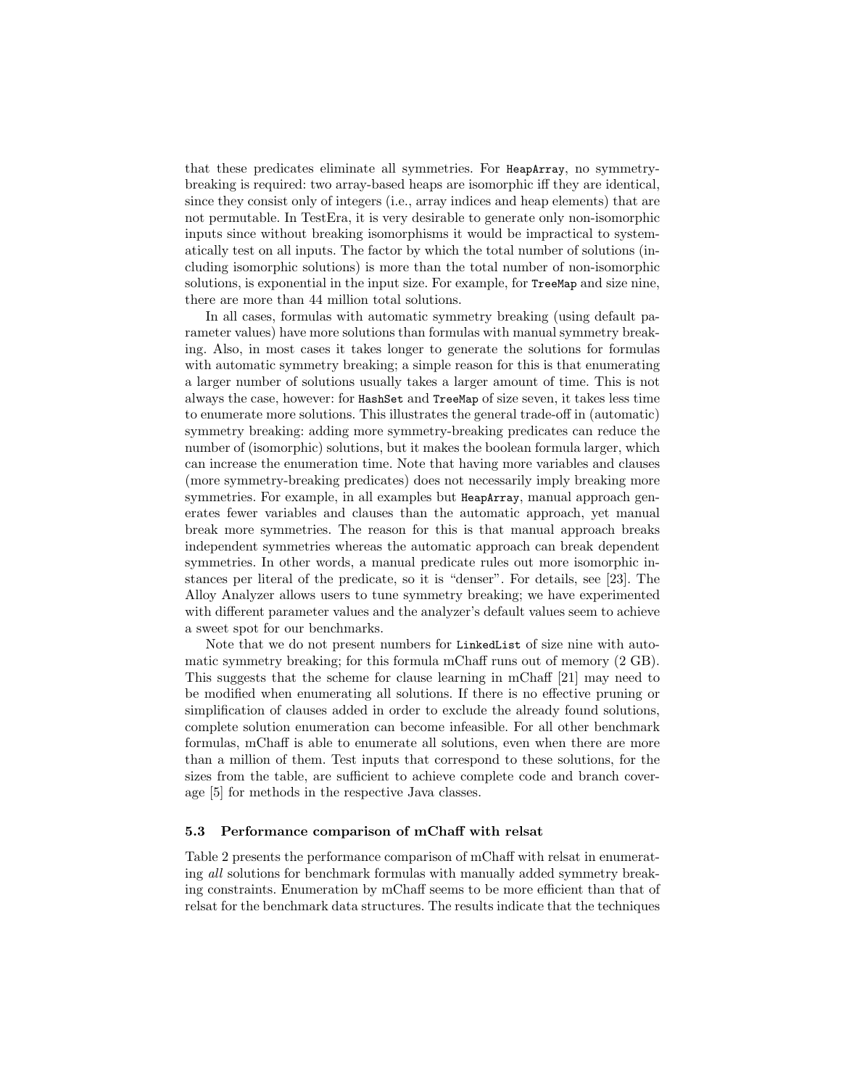that these predicates eliminate all symmetries. For HeapArray, no symmetrybreaking is required: two array-based heaps are isomorphic iff they are identical, since they consist only of integers (i.e., array indices and heap elements) that are not permutable. In TestEra, it is very desirable to generate only non-isomorphic inputs since without breaking isomorphisms it would be impractical to systematically test on all inputs. The factor by which the total number of solutions (including isomorphic solutions) is more than the total number of non-isomorphic solutions, is exponential in the input size. For example, for TreeMap and size nine, there are more than 44 million total solutions.

In all cases, formulas with automatic symmetry breaking (using default parameter values) have more solutions than formulas with manual symmetry breaking. Also, in most cases it takes longer to generate the solutions for formulas with automatic symmetry breaking; a simple reason for this is that enumerating a larger number of solutions usually takes a larger amount of time. This is not always the case, however: for HashSet and TreeMap of size seven, it takes less time to enumerate more solutions. This illustrates the general trade-off in (automatic) symmetry breaking: adding more symmetry-breaking predicates can reduce the number of (isomorphic) solutions, but it makes the boolean formula larger, which can increase the enumeration time. Note that having more variables and clauses (more symmetry-breaking predicates) does not necessarily imply breaking more symmetries. For example, in all examples but HeapArray, manual approach generates fewer variables and clauses than the automatic approach, yet manual break more symmetries. The reason for this is that manual approach breaks independent symmetries whereas the automatic approach can break dependent symmetries. In other words, a manual predicate rules out more isomorphic instances per literal of the predicate, so it is "denser". For details, see [23]. The Alloy Analyzer allows users to tune symmetry breaking; we have experimented with different parameter values and the analyzer's default values seem to achieve a sweet spot for our benchmarks.

Note that we do not present numbers for LinkedList of size nine with automatic symmetry breaking; for this formula mChaff runs out of memory (2 GB). This suggests that the scheme for clause learning in mChaff [21] may need to be modified when enumerating all solutions. If there is no effective pruning or simplification of clauses added in order to exclude the already found solutions, complete solution enumeration can become infeasible. For all other benchmark formulas, mChaff is able to enumerate all solutions, even when there are more than a million of them. Test inputs that correspond to these solutions, for the sizes from the table, are sufficient to achieve complete code and branch coverage [5] for methods in the respective Java classes.

### 5.3 Performance comparison of mChaff with relsat

Table 2 presents the performance comparison of mChaff with relsat in enumerating all solutions for benchmark formulas with manually added symmetry breaking constraints. Enumeration by mChaff seems to be more efficient than that of relsat for the benchmark data structures. The results indicate that the techniques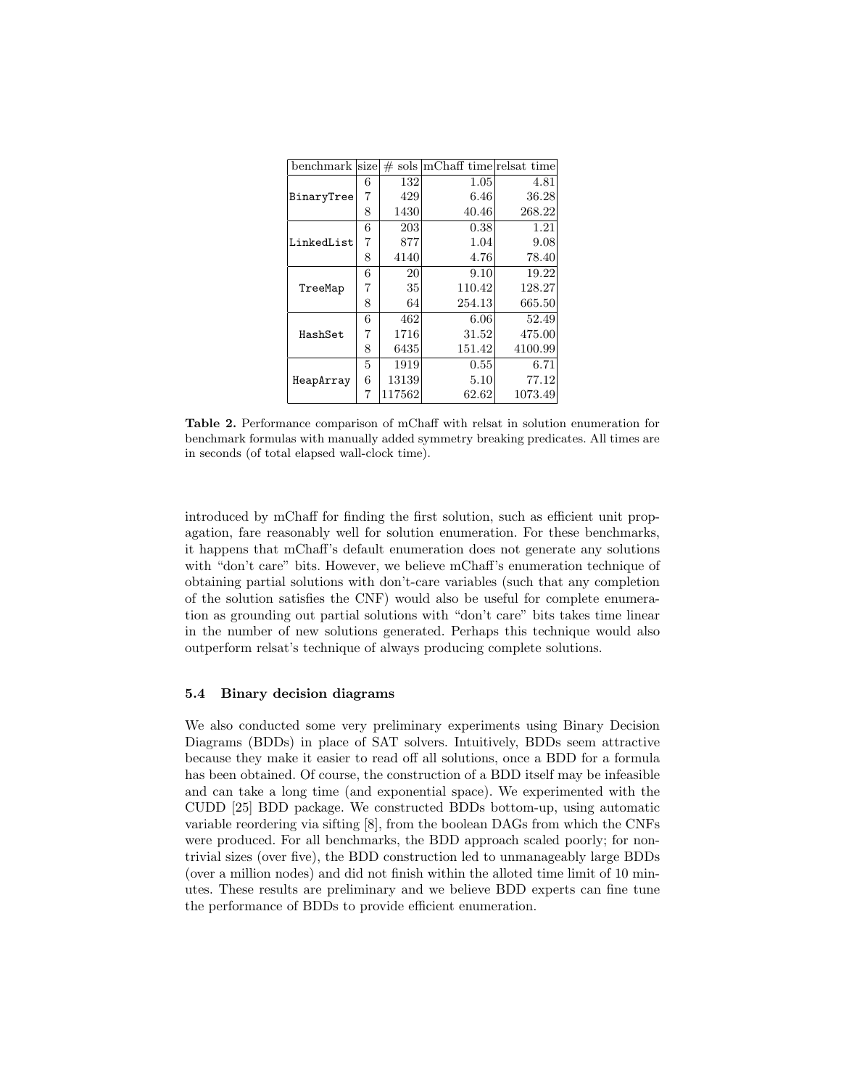| $\mathbf{b}$ enchmark | size | #      | sols mChaff time releat time |         |
|-----------------------|------|--------|------------------------------|---------|
|                       | 6    | 132    | 1.05                         | 4.81    |
| BinaryTree            | 7    | 429    | 6.46                         | 36.28   |
|                       | 8    | 1430   | 40.46                        | 268.22  |
|                       | 6    | 203    | 0.38                         | 1.21    |
| LinkedList            | 7    | 877    | 1.04                         | 9.08    |
|                       | 8    | 4140   | 4.76                         | 78.40   |
|                       | 6    | 20     | 9.10                         | 19.22   |
| TreeMap               | 7    | 35     | 110.42                       | 128.27  |
|                       | 8    | 64     | 254.13                       | 665.50  |
|                       | 6    | 462    | 6.06                         | 52.49   |
| HashSet               | 7    | 1716   | 31.52                        | 475.00  |
|                       | 8    | 6435   | 151.42                       | 4100.99 |
|                       | 5    | 1919   | 0.55                         | 6.71    |
| HeapArray             | 6    | 13139  | 5.10                         | 77.12   |
|                       | 7    | 117562 | 62.62                        | 1073.49 |

Table 2. Performance comparison of mChaff with relsat in solution enumeration for benchmark formulas with manually added symmetry breaking predicates. All times are in seconds (of total elapsed wall-clock time).

introduced by mChaff for finding the first solution, such as efficient unit propagation, fare reasonably well for solution enumeration. For these benchmarks, it happens that mChaff's default enumeration does not generate any solutions with "don't care" bits. However, we believe mChaff's enumeration technique of obtaining partial solutions with don't-care variables (such that any completion of the solution satisfies the CNF) would also be useful for complete enumeration as grounding out partial solutions with "don't care" bits takes time linear in the number of new solutions generated. Perhaps this technique would also outperform relsat's technique of always producing complete solutions.

### 5.4 Binary decision diagrams

We also conducted some very preliminary experiments using Binary Decision Diagrams (BDDs) in place of SAT solvers. Intuitively, BDDs seem attractive because they make it easier to read off all solutions, once a BDD for a formula has been obtained. Of course, the construction of a BDD itself may be infeasible and can take a long time (and exponential space). We experimented with the CUDD [25] BDD package. We constructed BDDs bottom-up, using automatic variable reordering via sifting [8], from the boolean DAGs from which the CNFs were produced. For all benchmarks, the BDD approach scaled poorly; for nontrivial sizes (over five), the BDD construction led to unmanageably large BDDs (over a million nodes) and did not finish within the alloted time limit of 10 minutes. These results are preliminary and we believe BDD experts can fine tune the performance of BDDs to provide efficient enumeration.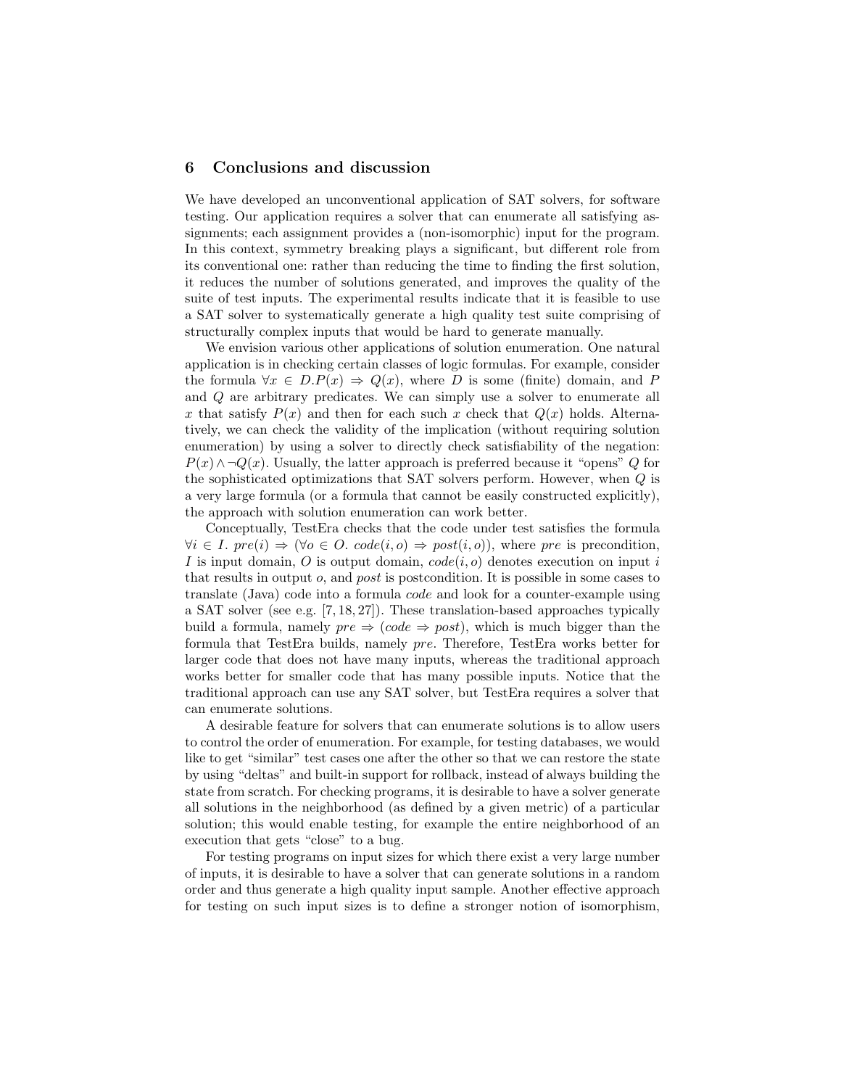## 6 Conclusions and discussion

We have developed an unconventional application of SAT solvers, for software testing. Our application requires a solver that can enumerate all satisfying assignments; each assignment provides a (non-isomorphic) input for the program. In this context, symmetry breaking plays a significant, but different role from its conventional one: rather than reducing the time to finding the first solution, it reduces the number of solutions generated, and improves the quality of the suite of test inputs. The experimental results indicate that it is feasible to use a SAT solver to systematically generate a high quality test suite comprising of structurally complex inputs that would be hard to generate manually.

We envision various other applications of solution enumeration. One natural application is in checking certain classes of logic formulas. For example, consider the formula  $\forall x \in D.P(x) \Rightarrow Q(x)$ , where D is some (finite) domain, and P and Q are arbitrary predicates. We can simply use a solver to enumerate all x that satisfy  $P(x)$  and then for each such x check that  $Q(x)$  holds. Alternatively, we can check the validity of the implication (without requiring solution enumeration) by using a solver to directly check satisfiability of the negation:  $P(x) \wedge \neg Q(x)$ . Usually, the latter approach is preferred because it "opens" Q for the sophisticated optimizations that SAT solvers perform. However, when Q is a very large formula (or a formula that cannot be easily constructed explicitly), the approach with solution enumeration can work better.

Conceptually, TestEra checks that the code under test satisfies the formula  $\forall i \in I$ .  $pre(i) \Rightarrow (\forall o \in O$ .  $code(i, o) \Rightarrow post(i, o)$ , where pre is precondition, I is input domain, O is output domain,  $code(i, o)$  denotes execution on input i that results in output  $o$ , and *post* is postcondition. It is possible in some cases to translate (Java) code into a formula code and look for a counter-example using a SAT solver (see e.g. [7, 18, 27]). These translation-based approaches typically build a formula, namely  $pre \Rightarrow (code \Rightarrow post)$ , which is much bigger than the formula that TestEra builds, namely pre. Therefore, TestEra works better for larger code that does not have many inputs, whereas the traditional approach works better for smaller code that has many possible inputs. Notice that the traditional approach can use any SAT solver, but TestEra requires a solver that can enumerate solutions.

A desirable feature for solvers that can enumerate solutions is to allow users to control the order of enumeration. For example, for testing databases, we would like to get "similar" test cases one after the other so that we can restore the state by using "deltas" and built-in support for rollback, instead of always building the state from scratch. For checking programs, it is desirable to have a solver generate all solutions in the neighborhood (as defined by a given metric) of a particular solution; this would enable testing, for example the entire neighborhood of an execution that gets "close" to a bug.

For testing programs on input sizes for which there exist a very large number of inputs, it is desirable to have a solver that can generate solutions in a random order and thus generate a high quality input sample. Another effective approach for testing on such input sizes is to define a stronger notion of isomorphism,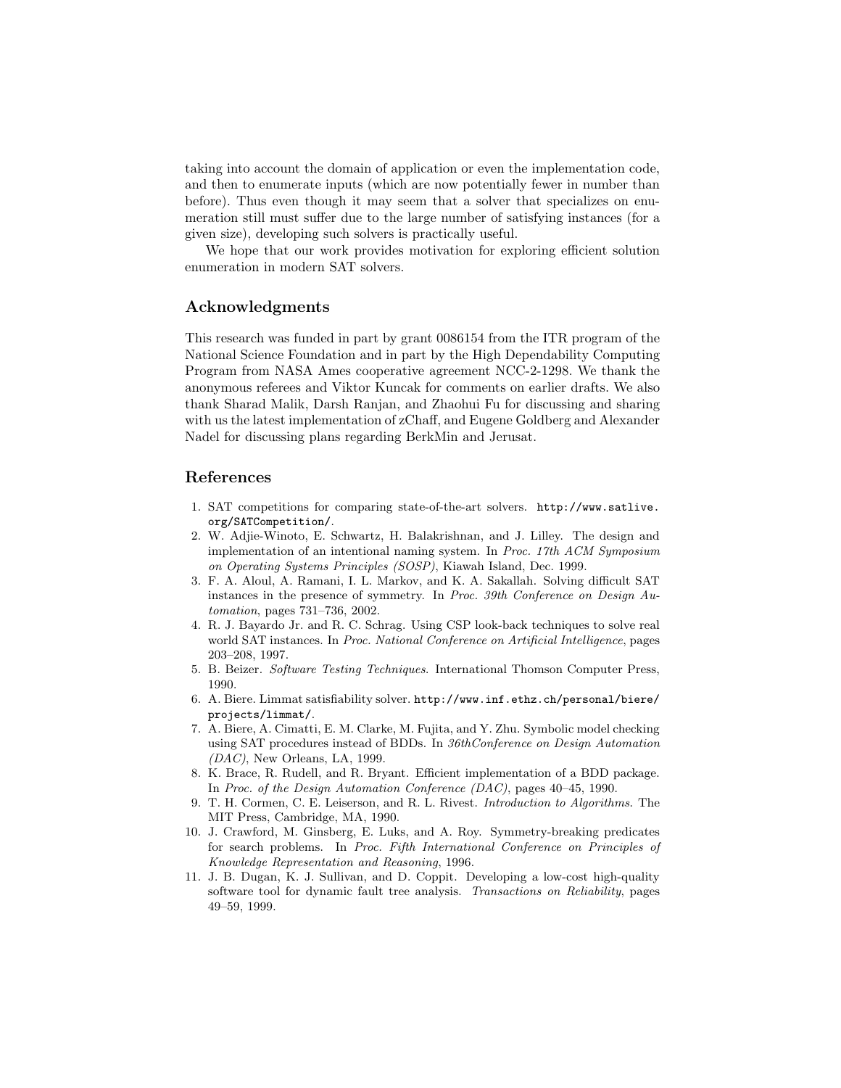taking into account the domain of application or even the implementation code, and then to enumerate inputs (which are now potentially fewer in number than before). Thus even though it may seem that a solver that specializes on enumeration still must suffer due to the large number of satisfying instances (for a given size), developing such solvers is practically useful.

We hope that our work provides motivation for exploring efficient solution enumeration in modern SAT solvers.

# Acknowledgments

This research was funded in part by grant 0086154 from the ITR program of the National Science Foundation and in part by the High Dependability Computing Program from NASA Ames cooperative agreement NCC-2-1298. We thank the anonymous referees and Viktor Kuncak for comments on earlier drafts. We also thank Sharad Malik, Darsh Ranjan, and Zhaohui Fu for discussing and sharing with us the latest implementation of zChaff, and Eugene Goldberg and Alexander Nadel for discussing plans regarding BerkMin and Jerusat.

# References

- 1. SAT competitions for comparing state-of-the-art solvers. http://www.satlive. org/SATCompetition/.
- 2. W. Adjie-Winoto, E. Schwartz, H. Balakrishnan, and J. Lilley. The design and implementation of an intentional naming system. In Proc. 17th ACM Symposium on Operating Systems Principles (SOSP), Kiawah Island, Dec. 1999.
- 3. F. A. Aloul, A. Ramani, I. L. Markov, and K. A. Sakallah. Solving difficult SAT instances in the presence of symmetry. In Proc. 39th Conference on Design Automation, pages 731–736, 2002.
- 4. R. J. Bayardo Jr. and R. C. Schrag. Using CSP look-back techniques to solve real world SAT instances. In Proc. National Conference on Artificial Intelligence, pages 203–208, 1997.
- 5. B. Beizer. Software Testing Techniques. International Thomson Computer Press, 1990.
- 6. A. Biere. Limmat satisfiability solver. http://www.inf.ethz.ch/personal/biere/ projects/limmat/.
- 7. A. Biere, A. Cimatti, E. M. Clarke, M. Fujita, and Y. Zhu. Symbolic model checking using SAT procedures instead of BDDs. In 36thConference on Design Automation (DAC), New Orleans, LA, 1999.
- 8. K. Brace, R. Rudell, and R. Bryant. Efficient implementation of a BDD package. In Proc. of the Design Automation Conference (DAC), pages 40–45, 1990.
- 9. T. H. Cormen, C. E. Leiserson, and R. L. Rivest. Introduction to Algorithms. The MIT Press, Cambridge, MA, 1990.
- 10. J. Crawford, M. Ginsberg, E. Luks, and A. Roy. Symmetry-breaking predicates for search problems. In Proc. Fifth International Conference on Principles of Knowledge Representation and Reasoning, 1996.
- 11. J. B. Dugan, K. J. Sullivan, and D. Coppit. Developing a low-cost high-quality software tool for dynamic fault tree analysis. Transactions on Reliability, pages 49–59, 1999.